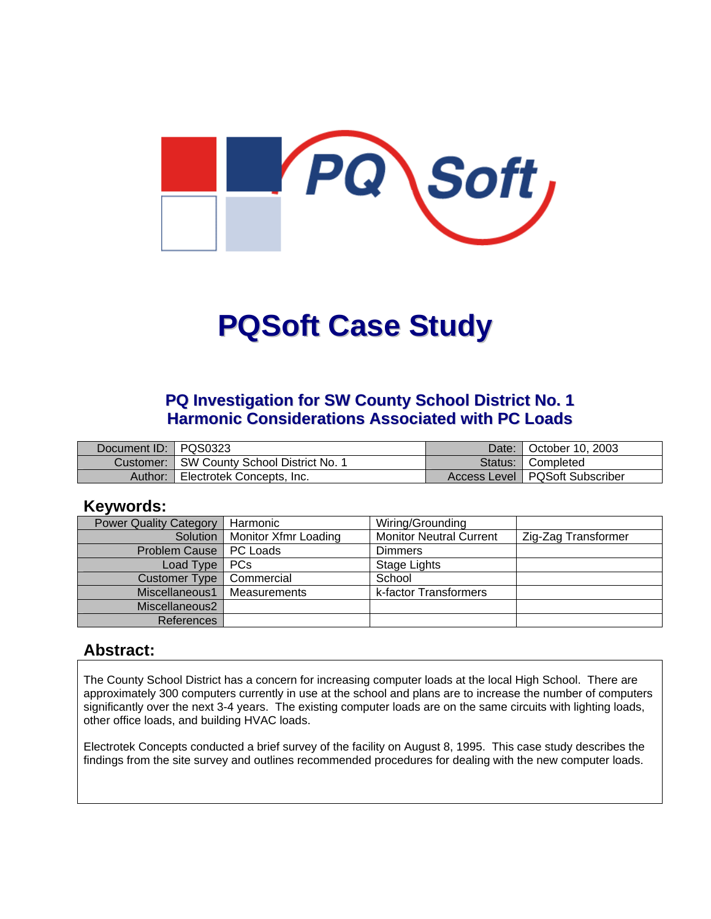

# **PQSoft Case Study**

# **PQ Investigation for SW County School District No. 1 Harmonic Considerations Associated with PC Loads**

| Document ID: PQS0323 |                                             | Date:   October 10, 2003         |
|----------------------|---------------------------------------------|----------------------------------|
|                      | Customer:   SW County School District No. 1 | Status:   Completed              |
| Author:              | Electrotek Concepts, Inc.                   | Access Level   PQSoft Subscriber |

#### **Keywords:**

| <b>Power Quality Category</b> | Harmonic                        | Wiring/Grounding               |                     |
|-------------------------------|---------------------------------|--------------------------------|---------------------|
|                               | Solution   Monitor Xfmr Loading | <b>Monitor Neutral Current</b> | Zig-Zag Transformer |
| Problem Cause   PC Loads      |                                 | Dimmers                        |                     |
| Load Type   PCs               |                                 | Stage Lights                   |                     |
| Customer Type                 | Commercial                      | School                         |                     |
| Miscellaneous1                | l Measurements                  | k-factor Transformers          |                     |
| Miscellaneous2                |                                 |                                |                     |
| References                    |                                 |                                |                     |

### **Abstract:**

The County School District has a concern for increasing computer loads at the local High School. There are approximately 300 computers currently in use at the school and plans are to increase the number of computers significantly over the next 3-4 years. The existing computer loads are on the same circuits with lighting loads, other office loads, and building HVAC loads.

Electrotek Concepts conducted a brief survey of the facility on August 8, 1995. This case study describes the findings from the site survey and outlines recommended procedures for dealing with the new computer loads.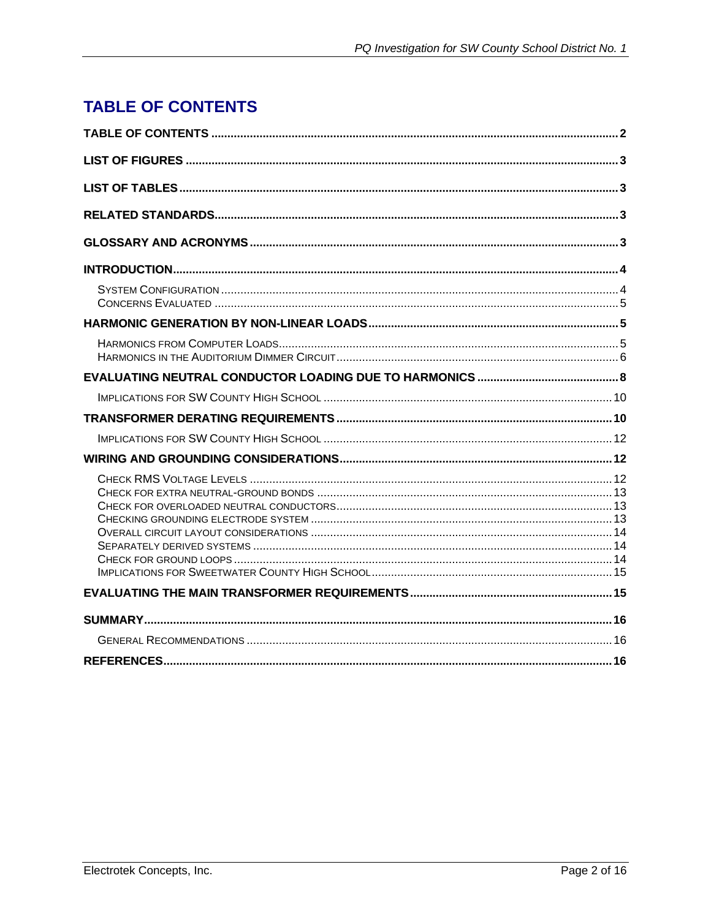# <span id="page-1-0"></span>**TABLE OF CONTENTS**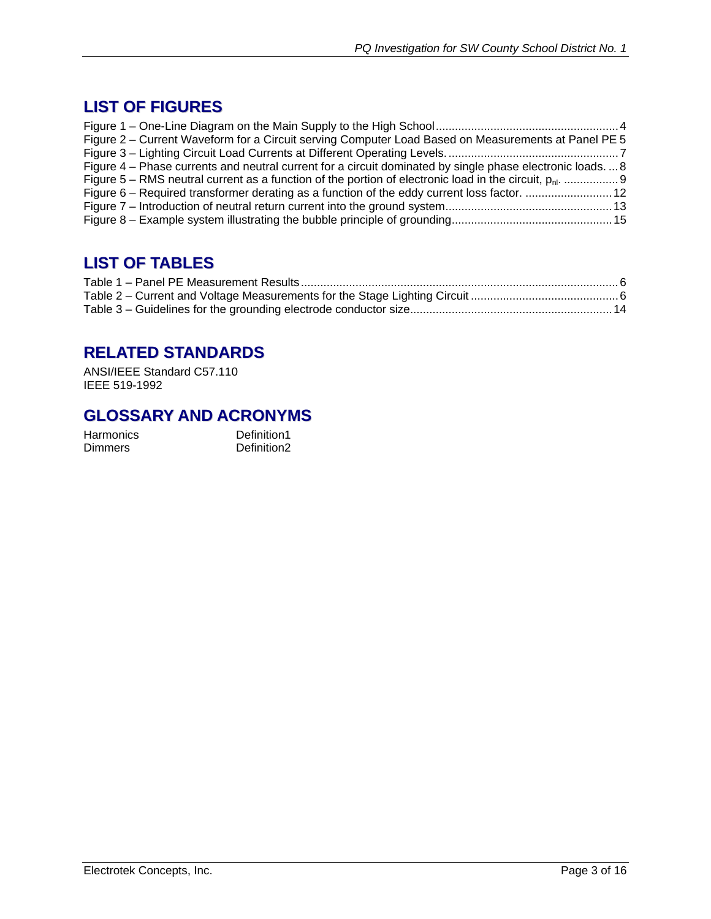# <span id="page-2-0"></span>**LIST OF FIGURES**

| Figure 2 – Current Waveform for a Circuit serving Computer Load Based on Measurements at Panel PE 5     |  |
|---------------------------------------------------------------------------------------------------------|--|
|                                                                                                         |  |
| Figure 4 – Phase currents and neutral current for a circuit dominated by single phase electronic loads8 |  |
|                                                                                                         |  |
| Figure 6 – Required transformer derating as a function of the eddy current loss factor.  12             |  |
|                                                                                                         |  |
|                                                                                                         |  |

# **LIST OF TABLES**

# **RELATED STANDARDS**

ANSI/IEEE Standard C57.110 IEEE 519-1992

### **GLOSSARY AND ACRONYMS**

Harmonics Definition1 Dimmers Definition2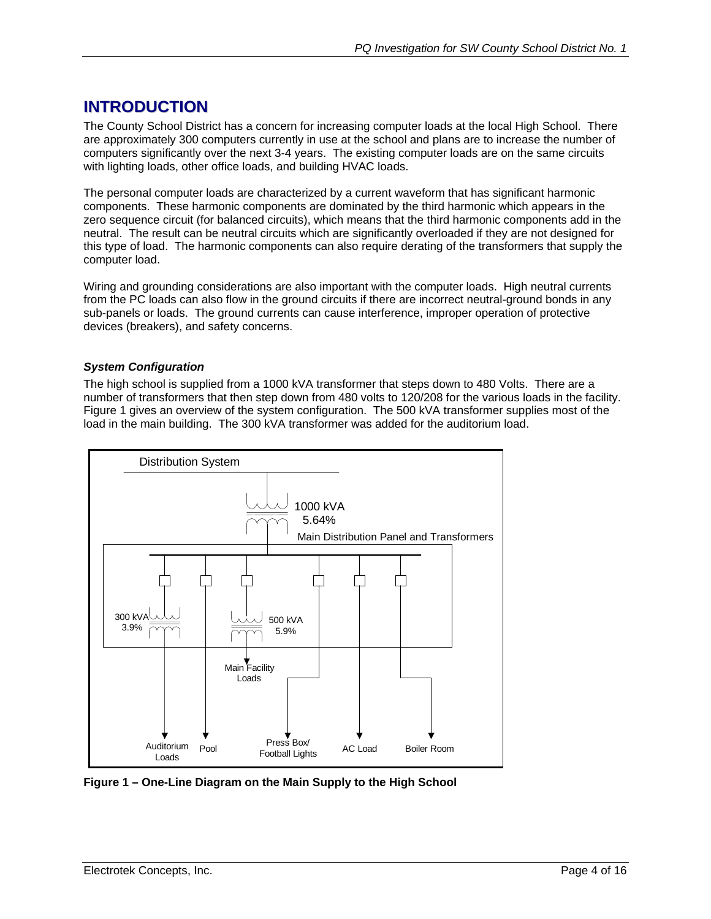# <span id="page-3-0"></span>**INTRODUCTION**

The County School District has a concern for increasing computer loads at the local High School. There are approximately 300 computers currently in use at the school and plans are to increase the number of computers significantly over the next 3-4 years. The existing computer loads are on the same circuits with lighting loads, other office loads, and building HVAC loads.

The personal computer loads are characterized by a current waveform that has significant harmonic components. These harmonic components are dominated by the third harmonic which appears in the zero sequence circuit (for balanced circuits), which means that the third harmonic components add in the neutral. The result can be neutral circuits which are significantly overloaded if they are not designed for this type of load. The harmonic components can also require derating of the transformers that supply the computer load.

Wiring and grounding considerations are also important with the computer loads. High neutral currents from the PC loads can also flow in the ground circuits if there are incorrect neutral-ground bonds in any sub-panels or loads. The ground currents can cause interference, improper operation of protective devices (breakers), and safety concerns.

#### *System Configuration*

The high school is supplied from a 1000 kVA transformer that steps down to 480 Volts. There are a number of transformers that then step down from 480 volts to 120/208 for the various loads in the facility. Figure 1 gives an overview of the system configuration. The 500 kVA transformer supplies most of the load in the main building. The 300 kVA transformer was added for the auditorium load.



**Figure 1 – One-Line Diagram on the Main Supply to the High School**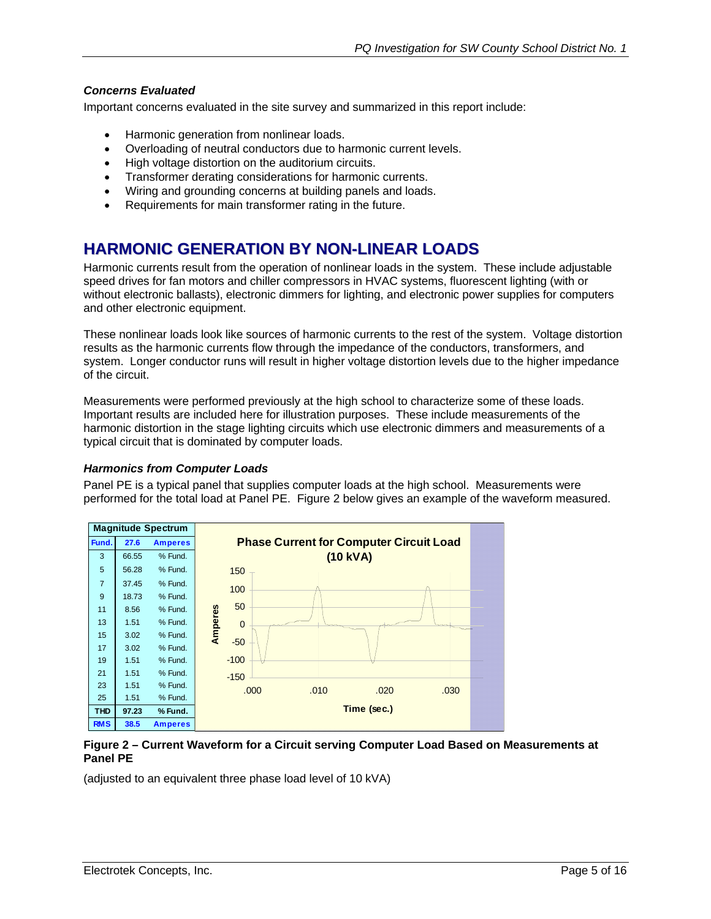#### <span id="page-4-0"></span>*Concerns Evaluated*

Important concerns evaluated in the site survey and summarized in this report include:

- Harmonic generation from nonlinear loads.
- Overloading of neutral conductors due to harmonic current levels.
- High voltage distortion on the auditorium circuits.
- Transformer derating considerations for harmonic currents.
- Wiring and grounding concerns at building panels and loads.
- Requirements for main transformer rating in the future.

# **HARMONIC GENERATION BY NON-LINEAR LOADS**

Harmonic currents result from the operation of nonlinear loads in the system. These include adjustable speed drives for fan motors and chiller compressors in HVAC systems, fluorescent lighting (with or without electronic ballasts), electronic dimmers for lighting, and electronic power supplies for computers and other electronic equipment.

These nonlinear loads look like sources of harmonic currents to the rest of the system. Voltage distortion results as the harmonic currents flow through the impedance of the conductors, transformers, and system. Longer conductor runs will result in higher voltage distortion levels due to the higher impedance of the circuit.

Measurements were performed previously at the high school to characterize some of these loads. Important results are included here for illustration purposes. These include measurements of the harmonic distortion in the stage lighting circuits which use electronic dimmers and measurements of a typical circuit that is dominated by computer loads.

#### *Harmonics from Computer Loads*

Panel PE is a typical panel that supplies computer loads at the high school. Measurements were performed for the total load at Panel PE. Figure 2 below gives an example of the waveform measured.



#### **Figure 2 – Current Waveform for a Circuit serving Computer Load Based on Measurements at Panel PE**

(adjusted to an equivalent three phase load level of 10 kVA)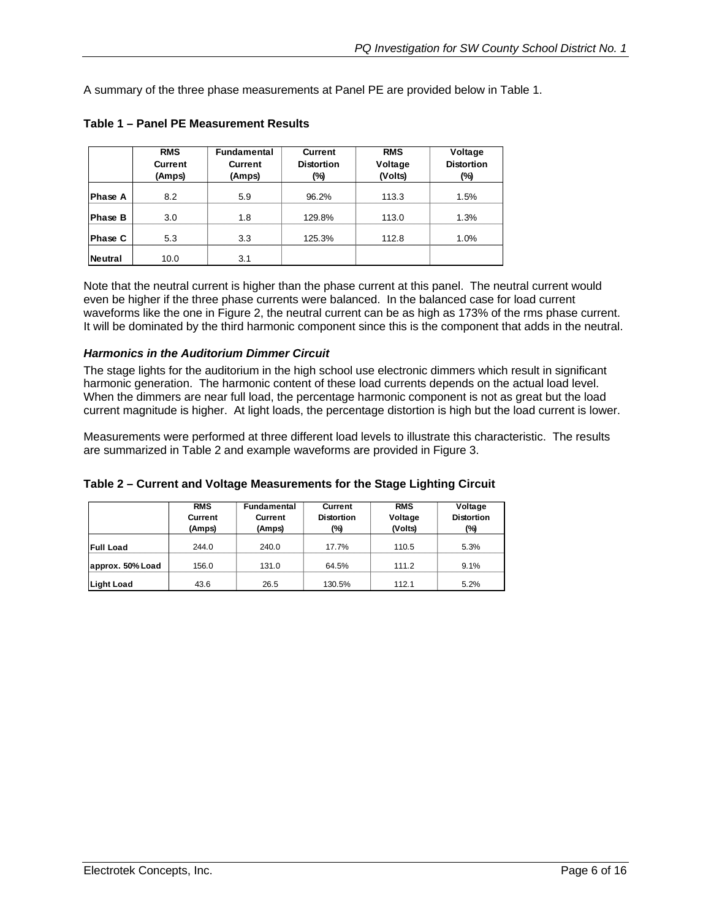<span id="page-5-0"></span>A summary of the three phase measurements at Panel PE are provided below in Table 1.

|                | <b>RMS</b><br><b>Current</b><br>(Amps) | <b>Fundamental</b><br><b>Current</b><br>(Amps) | <b>Current</b><br><b>Distortion</b><br>(%) | <b>RMS</b><br>Voltage<br>(Volts) | Voltage<br><b>Distortion</b><br>(%) |
|----------------|----------------------------------------|------------------------------------------------|--------------------------------------------|----------------------------------|-------------------------------------|
| <b>Phase A</b> | 8.2                                    | 5.9                                            | 96.2%                                      | 113.3                            | 1.5%                                |
| <b>Phase B</b> | 3.0                                    | 1.8                                            | 129.8%                                     | 113.0                            | 1.3%                                |
| <b>Phase C</b> | 5.3                                    | 3.3                                            | 125.3%                                     | 112.8                            | 1.0%                                |
| Neutral        | 10.0                                   | 3.1                                            |                                            |                                  |                                     |

**Table 1 – Panel PE Measurement Results** 

Note that the neutral current is higher than the phase current at this panel. The neutral current would even be higher if the three phase currents were balanced. In the balanced case for load current waveforms like the one in Figure 2, the neutral current can be as high as 173% of the rms phase current. It will be dominated by the third harmonic component since this is the component that adds in the neutral.

#### *Harmonics in the Auditorium Dimmer Circuit*

The stage lights for the auditorium in the high school use electronic dimmers which result in significant harmonic generation. The harmonic content of these load currents depends on the actual load level. When the dimmers are near full load, the percentage harmonic component is not as great but the load current magnitude is higher. At light loads, the percentage distortion is high but the load current is lower.

Measurements were performed at three different load levels to illustrate this characteristic. The results are summarized in Table 2 and example waveforms are provided in Figure 3.

|                   | <b>RMS</b><br><b>Current</b><br>(Amps) | Fundamental<br>Current<br>(Amps) | <b>Current</b><br><b>Distortion</b><br>(%) | <b>RMS</b><br>Voltage<br>(Volts) | Voltage<br><b>Distortion</b><br>(%) |
|-------------------|----------------------------------------|----------------------------------|--------------------------------------------|----------------------------------|-------------------------------------|
| <b>Full Load</b>  | 244.0                                  | 240.0                            | 17.7%                                      | 110.5                            | 5.3%                                |
| approx. 50% Load  | 156.0                                  | 131.0                            | 64.5%                                      | 111.2                            | 9.1%                                |
| <b>Light Load</b> | 43.6                                   | 26.5                             | 130.5%                                     | 112.1                            | 5.2%                                |

#### **Table 2 – Current and Voltage Measurements for the Stage Lighting Circuit**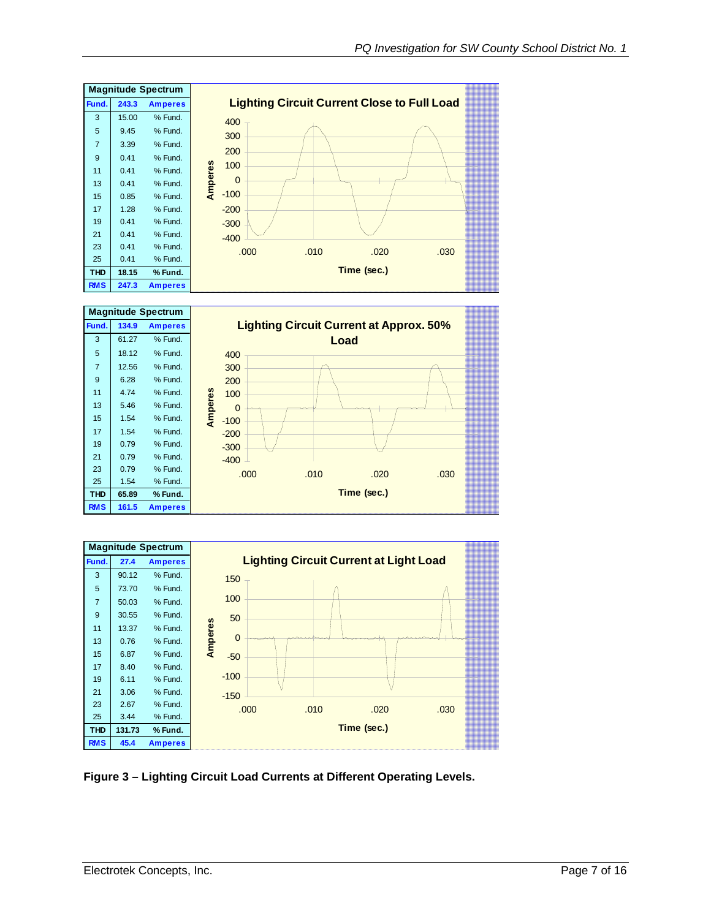<span id="page-6-0"></span>





#### **Figure 3 – Lighting Circuit Load Currents at Different Operating Levels.**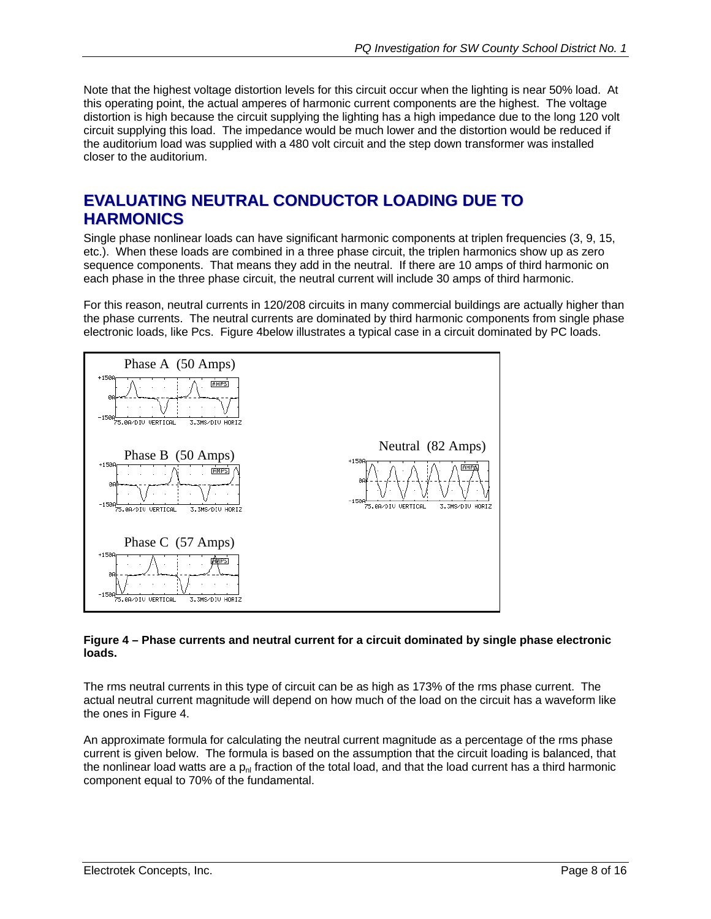<span id="page-7-0"></span>Note that the highest voltage distortion levels for this circuit occur when the lighting is near 50% load. At this operating point, the actual amperes of harmonic current components are the highest. The voltage distortion is high because the circuit supplying the lighting has a high impedance due to the long 120 volt circuit supplying this load. The impedance would be much lower and the distortion would be reduced if the auditorium load was supplied with a 480 volt circuit and the step down transformer was installed closer to the auditorium.

# **EVALUATING NEUTRAL CONDUCTOR LOADING DUE TO HARMONICS**

Single phase nonlinear loads can have significant harmonic components at triplen frequencies (3, 9, 15, etc.). When these loads are combined in a three phase circuit, the triplen harmonics show up as zero sequence components. That means they add in the neutral. If there are 10 amps of third harmonic on each phase in the three phase circuit, the neutral current will include 30 amps of third harmonic.

For this reason, neutral currents in 120/208 circuits in many commercial buildings are actually higher than the phase currents. The neutral currents are dominated by third harmonic components from single phase electronic loads, like Pcs. Figure 4below illustrates a typical case in a circuit dominated by PC loads.



#### **Figure 4 – Phase currents and neutral current for a circuit dominated by single phase electronic loads.**

The rms neutral currents in this type of circuit can be as high as 173% of the rms phase current. The actual neutral current magnitude will depend on how much of the load on the circuit has a waveform like the ones in Figure 4.

An approximate formula for calculating the neutral current magnitude as a percentage of the rms phase current is given below. The formula is based on the assumption that the circuit loading is balanced, that the nonlinear load watts are a  $p_{nl}$  fraction of the total load, and that the load current has a third harmonic component equal to 70% of the fundamental.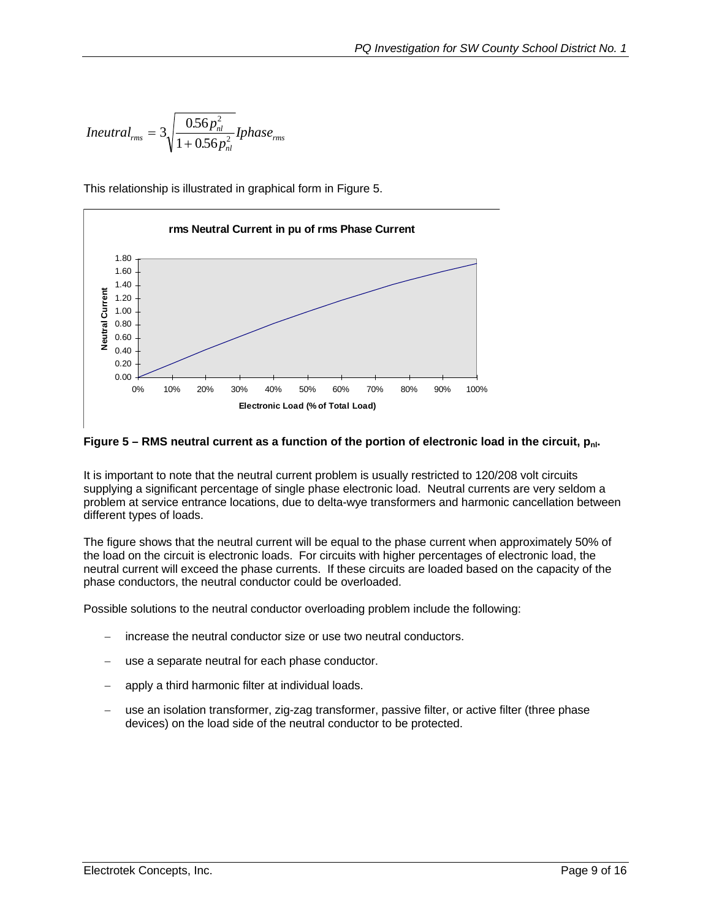<span id="page-8-0"></span>
$$
Ineutral_{rms} = 3\sqrt{\frac{0.56p_{nl}^2}{1 + 0.56p_{nl}^2}} I phase_{rms}
$$

This relationship is illustrated in graphical form in Figure 5.



Figure 5 – RMS neutral current as a function of the portion of electronic load in the circuit, p<sub>nl</sub>.

It is important to note that the neutral current problem is usually restricted to 120/208 volt circuits supplying a significant percentage of single phase electronic load. Neutral currents are very seldom a problem at service entrance locations, due to delta-wye transformers and harmonic cancellation between different types of loads.

The figure shows that the neutral current will be equal to the phase current when approximately 50% of the load on the circuit is electronic loads. For circuits with higher percentages of electronic load, the neutral current will exceed the phase currents. If these circuits are loaded based on the capacity of the phase conductors, the neutral conductor could be overloaded.

Possible solutions to the neutral conductor overloading problem include the following:

- − increase the neutral conductor size or use two neutral conductors.
- use a separate neutral for each phase conductor.
- apply a third harmonic filter at individual loads.
- use an isolation transformer, zig-zag transformer, passive filter, or active filter (three phase devices) on the load side of the neutral conductor to be protected.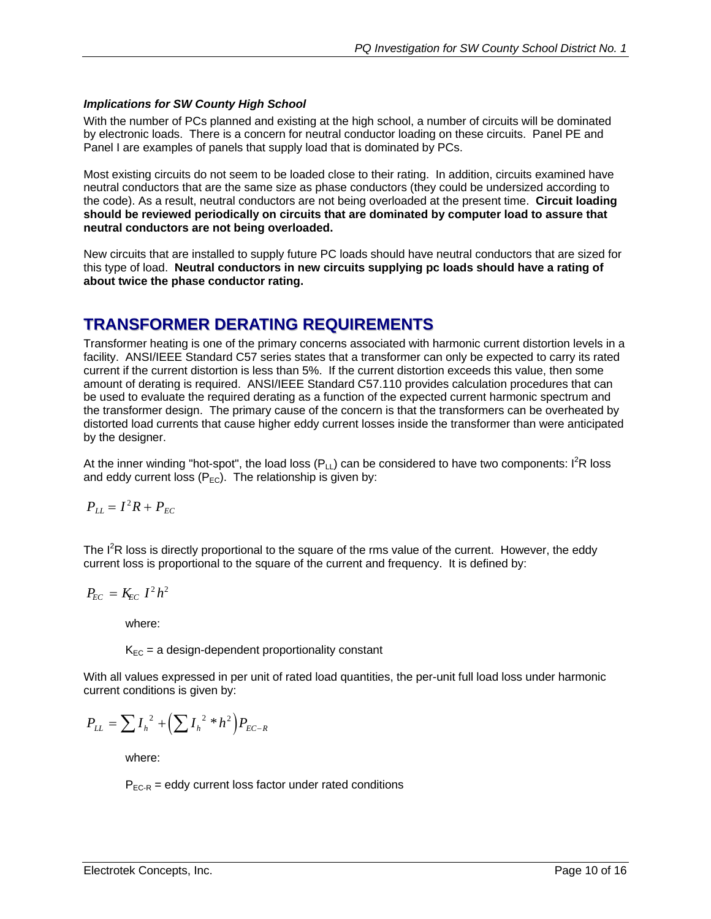#### <span id="page-9-0"></span>*Implications for SW County High School*

With the number of PCs planned and existing at the high school, a number of circuits will be dominated by electronic loads. There is a concern for neutral conductor loading on these circuits. Panel PE and Panel I are examples of panels that supply load that is dominated by PCs.

Most existing circuits do not seem to be loaded close to their rating. In addition, circuits examined have neutral conductors that are the same size as phase conductors (they could be undersized according to the code). As a result, neutral conductors are not being overloaded at the present time. **Circuit loading should be reviewed periodically on circuits that are dominated by computer load to assure that neutral conductors are not being overloaded.** 

New circuits that are installed to supply future PC loads should have neutral conductors that are sized for this type of load. **Neutral conductors in new circuits supplying pc loads should have a rating of about twice the phase conductor rating.**

# **TRANSFORMER DERATING REQUIREMENTS**

Transformer heating is one of the primary concerns associated with harmonic current distortion levels in a facility. ANSI/IEEE Standard C57 series states that a transformer can only be expected to carry its rated current if the current distortion is less than 5%. If the current distortion exceeds this value, then some amount of derating is required. ANSI/IEEE Standard C57.110 provides calculation procedures that can be used to evaluate the required derating as a function of the expected current harmonic spectrum and the transformer design. The primary cause of the concern is that the transformers can be overheated by distorted load currents that cause higher eddy current losses inside the transformer than were anticipated by the designer.

At the inner winding "hot-spot", the load loss (P<sub>LL</sub>) can be considered to have two components: I<sup>2</sup>R loss and eddy current loss  $(P_{FC})$ . The relationship is given by:

$$
P_{LL} = I^2 R + P_{EC}
$$

The  $I<sup>2</sup>R$  loss is directly proportional to the square of the rms value of the current. However, the eddy current loss is proportional to the square of the current and frequency. It is defined by:

$$
P_{EC} = K_{EC} I^2 h^2
$$

where:

 $K_{EC}$  = a design-dependent proportionality constant

With all values expressed in per unit of rated load quantities, the per-unit full load loss under harmonic current conditions is given by:

$$
P_{LL} = \sum I_h^{2} + \left(\sum I_h^{2} * h^{2}\right) P_{EC-R}
$$

where:

 $P_{EC-R}$  = eddy current loss factor under rated conditions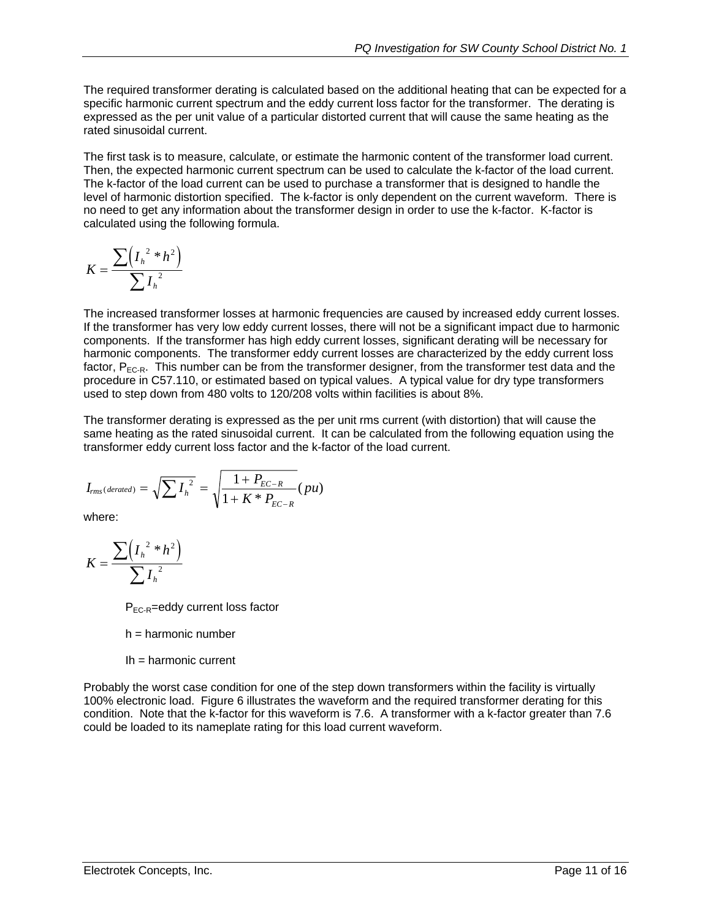The required transformer derating is calculated based on the additional heating that can be expected for a specific harmonic current spectrum and the eddy current loss factor for the transformer. The derating is expressed as the per unit value of a particular distorted current that will cause the same heating as the rated sinusoidal current.

The first task is to measure, calculate, or estimate the harmonic content of the transformer load current. Then, the expected harmonic current spectrum can be used to calculate the k-factor of the load current. The k-factor of the load current can be used to purchase a transformer that is designed to handle the level of harmonic distortion specified. The k-factor is only dependent on the current waveform. There is no need to get any information about the transformer design in order to use the k-factor. K-factor is calculated using the following formula.

$$
K = \frac{\sum \left( I_h^{2} * h^2 \right)}{\sum I_h^{2}}
$$

The increased transformer losses at harmonic frequencies are caused by increased eddy current losses. If the transformer has very low eddy current losses, there will not be a significant impact due to harmonic components. If the transformer has high eddy current losses, significant derating will be necessary for harmonic components. The transformer eddy current losses are characterized by the eddy current loss factor,  $P_{EC-R}$ . This number can be from the transformer designer, from the transformer test data and the procedure in C57.110, or estimated based on typical values. A typical value for dry type transformers used to step down from 480 volts to 120/208 volts within facilities is about 8%.

The transformer derating is expressed as the per unit rms current (with distortion) that will cause the same heating as the rated sinusoidal current. It can be calculated from the following equation using the transformer eddy current loss factor and the k-factor of the load current.

$$
I_{rms(derated)} = \sqrt{\sum I_{h}^{2}} = \sqrt{\frac{1 + P_{EC-R}}{1 + K * P_{EC-R}}}(pu)
$$

where:

$$
K = \frac{\sum \left( I_h^2 * h^2 \right)}{\sum I_h^2}
$$

P<sub>EC-R</sub>=eddy current loss factor

- h = harmonic number
- Ih = harmonic current

Probably the worst case condition for one of the step down transformers within the facility is virtually 100% electronic load. Figure 6 illustrates the waveform and the required transformer derating for this condition. Note that the k-factor for this waveform is 7.6. A transformer with a k-factor greater than 7.6 could be loaded to its nameplate rating for this load current waveform.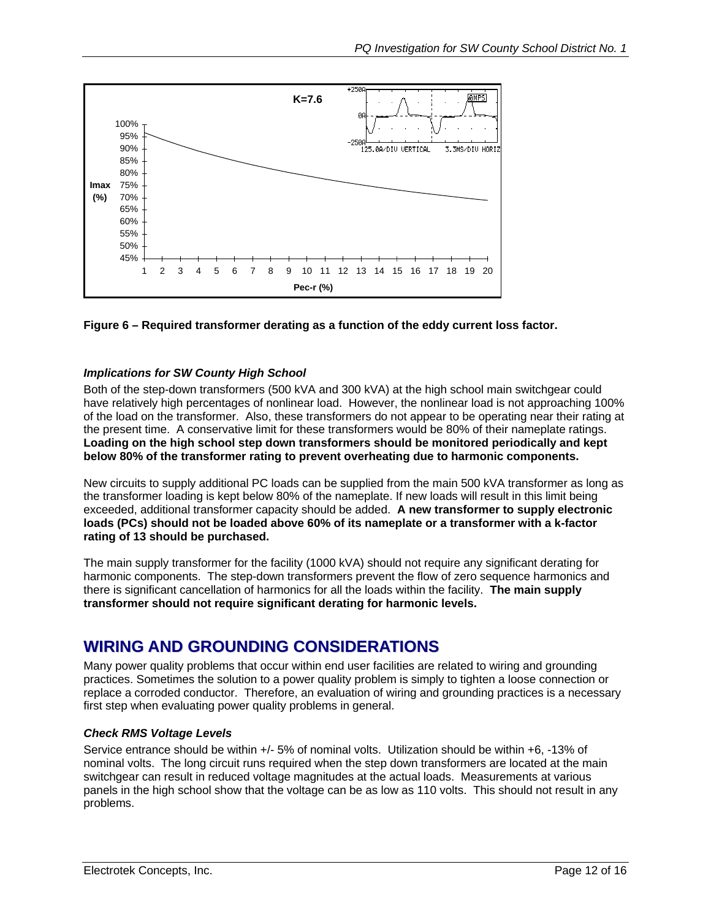<span id="page-11-0"></span>



#### *Implications for SW County High School*

Both of the step-down transformers (500 kVA and 300 kVA) at the high school main switchgear could have relatively high percentages of nonlinear load. However, the nonlinear load is not approaching 100% of the load on the transformer. Also, these transformers do not appear to be operating near their rating at the present time. A conservative limit for these transformers would be 80% of their nameplate ratings. **Loading on the high school step down transformers should be monitored periodically and kept below 80% of the transformer rating to prevent overheating due to harmonic components.** 

New circuits to supply additional PC loads can be supplied from the main 500 kVA transformer as long as the transformer loading is kept below 80% of the nameplate. If new loads will result in this limit being exceeded, additional transformer capacity should be added. **A new transformer to supply electronic loads (PCs) should not be loaded above 60% of its nameplate or a transformer with a k-factor rating of 13 should be purchased.**

The main supply transformer for the facility (1000 kVA) should not require any significant derating for harmonic components. The step-down transformers prevent the flow of zero sequence harmonics and there is significant cancellation of harmonics for all the loads within the facility. **The main supply transformer should not require significant derating for harmonic levels.** 

### **WIRING AND GROUNDING CONSIDERATIONS**

Many power quality problems that occur within end user facilities are related to wiring and grounding practices. Sometimes the solution to a power quality problem is simply to tighten a loose connection or replace a corroded conductor. Therefore, an evaluation of wiring and grounding practices is a necessary first step when evaluating power quality problems in general.

#### *Check RMS Voltage Levels*

Service entrance should be within +/- 5% of nominal volts. Utilization should be within +6, -13% of nominal volts. The long circuit runs required when the step down transformers are located at the main switchgear can result in reduced voltage magnitudes at the actual loads. Measurements at various panels in the high school show that the voltage can be as low as 110 volts. This should not result in any problems.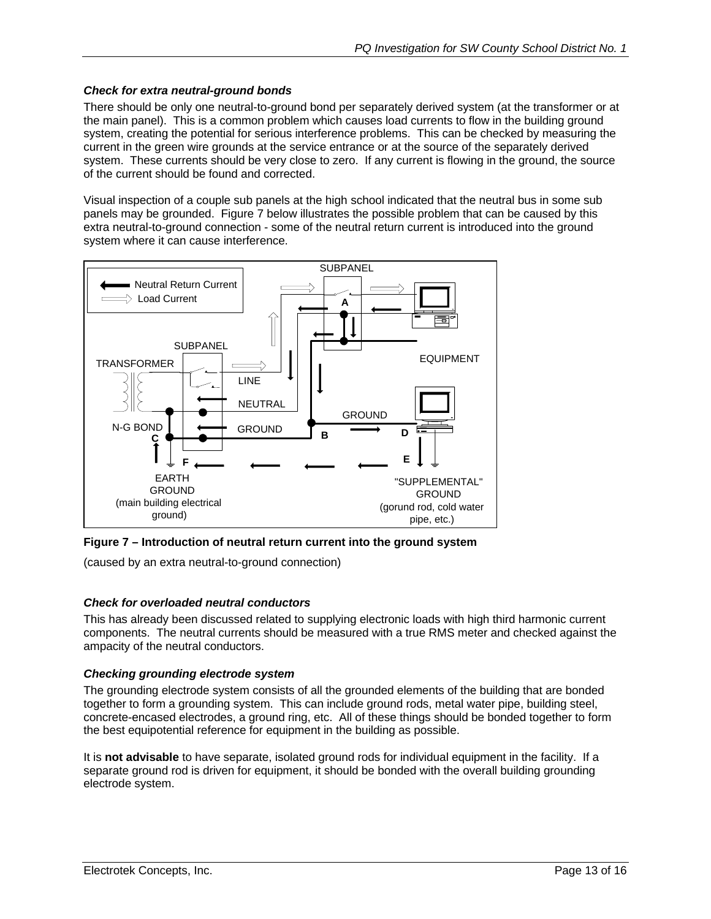#### <span id="page-12-0"></span>*Check for extra neutral-ground bonds*

There should be only one neutral-to-ground bond per separately derived system (at the transformer or at the main panel). This is a common problem which causes load currents to flow in the building ground system, creating the potential for serious interference problems. This can be checked by measuring the current in the green wire grounds at the service entrance or at the source of the separately derived system. These currents should be very close to zero. If any current is flowing in the ground, the source of the current should be found and corrected.

Visual inspection of a couple sub panels at the high school indicated that the neutral bus in some sub panels may be grounded. Figure 7 below illustrates the possible problem that can be caused by this extra neutral-to-ground connection - some of the neutral return current is introduced into the ground system where it can cause interference.



**Figure 7 – Introduction of neutral return current into the ground system** 

(caused by an extra neutral-to-ground connection)

#### *Check for overloaded neutral conductors*

This has already been discussed related to supplying electronic loads with high third harmonic current components. The neutral currents should be measured with a true RMS meter and checked against the ampacity of the neutral conductors.

#### *Checking grounding electrode system*

The grounding electrode system consists of all the grounded elements of the building that are bonded together to form a grounding system. This can include ground rods, metal water pipe, building steel, concrete-encased electrodes, a ground ring, etc. All of these things should be bonded together to form the best equipotential reference for equipment in the building as possible.

It is **not advisable** to have separate, isolated ground rods for individual equipment in the facility. If a separate ground rod is driven for equipment, it should be bonded with the overall building grounding electrode system.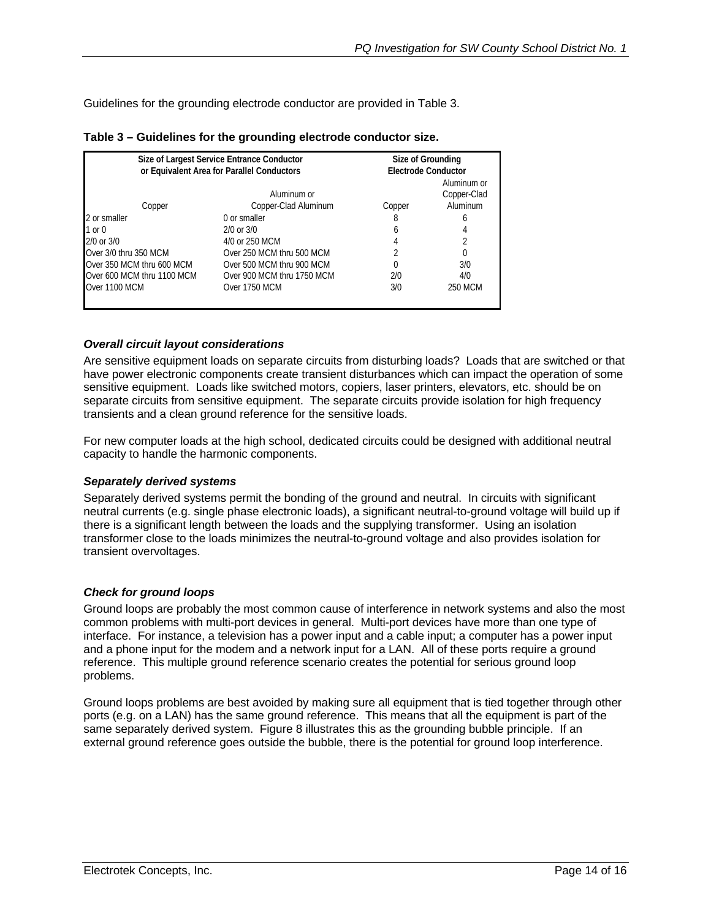<span id="page-13-0"></span>Guidelines for the grounding electrode conductor are provided in Table 3.

|                            | Size of Largest Service Entrance Conductor<br>or Equivalent Area for Parallel Conductors |        | Size of Grounding<br><b>Electrode Conductor</b> |  |
|----------------------------|------------------------------------------------------------------------------------------|--------|-------------------------------------------------|--|
| Copper                     | Aluminum or<br>Copper-Clad Aluminum                                                      | Copper | Aluminum or<br>Copper-Clad<br>Aluminum          |  |
| 2 or smaller               | 0 or smaller                                                                             | 8      | h                                               |  |
| 1 or 0                     | $2/0$ or $3/0$                                                                           | h      |                                                 |  |
| 2/0 or 3/0                 | 4/0 or 250 MCM                                                                           |        |                                                 |  |
| Over 3/0 thru 350 MCM      | Over 250 MCM thru 500 MCM                                                                |        |                                                 |  |
| Over 350 MCM thru 600 MCM  | Over 500 MCM thru 900 MCM                                                                |        | 3/0                                             |  |
| Over 600 MCM thru 1100 MCM | Over 900 MCM thru 1750 MCM                                                               | 2/0    | 4/0                                             |  |
| Over 1100 MCM              | Over 1750 MCM                                                                            | 3/0    | 250 MCM                                         |  |
|                            |                                                                                          |        |                                                 |  |

#### **Table 3 – Guidelines for the grounding electrode conductor size.**

#### *Overall circuit layout considerations*

Are sensitive equipment loads on separate circuits from disturbing loads? Loads that are switched or that have power electronic components create transient disturbances which can impact the operation of some sensitive equipment. Loads like switched motors, copiers, laser printers, elevators, etc. should be on separate circuits from sensitive equipment. The separate circuits provide isolation for high frequency transients and a clean ground reference for the sensitive loads.

For new computer loads at the high school, dedicated circuits could be designed with additional neutral capacity to handle the harmonic components.

#### *Separately derived systems*

Separately derived systems permit the bonding of the ground and neutral. In circuits with significant neutral currents (e.g. single phase electronic loads), a significant neutral-to-ground voltage will build up if there is a significant length between the loads and the supplying transformer. Using an isolation transformer close to the loads minimizes the neutral-to-ground voltage and also provides isolation for transient overvoltages.

#### *Check for ground loops*

Ground loops are probably the most common cause of interference in network systems and also the most common problems with multi-port devices in general. Multi-port devices have more than one type of interface. For instance, a television has a power input and a cable input; a computer has a power input and a phone input for the modem and a network input for a LAN. All of these ports require a ground reference. This multiple ground reference scenario creates the potential for serious ground loop problems.

Ground loops problems are best avoided by making sure all equipment that is tied together through other ports (e.g. on a LAN) has the same ground reference. This means that all the equipment is part of the same separately derived system. Figure 8 illustrates this as the grounding bubble principle. If an external ground reference goes outside the bubble, there is the potential for ground loop interference.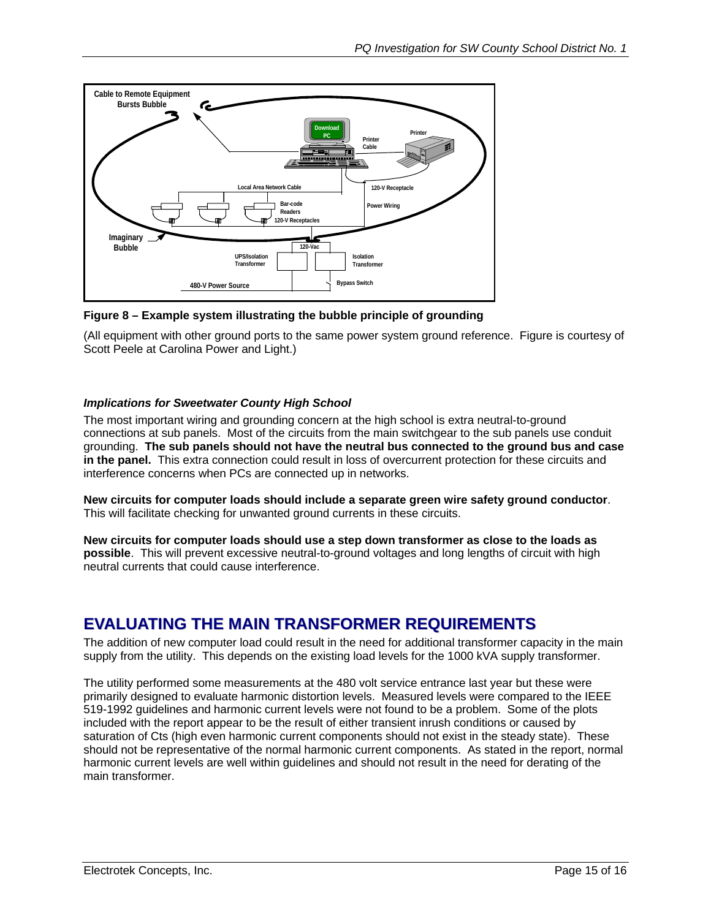<span id="page-14-0"></span>

**Figure 8 – Example system illustrating the bubble principle of grounding** 

(All equipment with other ground ports to the same power system ground reference. Figure is courtesy of Scott Peele at Carolina Power and Light.)

#### *Implications for Sweetwater County High School*

The most important wiring and grounding concern at the high school is extra neutral-to-ground connections at sub panels. Most of the circuits from the main switchgear to the sub panels use conduit grounding. **The sub panels should not have the neutral bus connected to the ground bus and case in the panel.** This extra connection could result in loss of overcurrent protection for these circuits and interference concerns when PCs are connected up in networks.

**New circuits for computer loads should include a separate green wire safety ground conductor**. This will facilitate checking for unwanted ground currents in these circuits.

**New circuits for computer loads should use a step down transformer as close to the loads as possible**. This will prevent excessive neutral-to-ground voltages and long lengths of circuit with high neutral currents that could cause interference.

# **EVALUATING THE MAIN TRANSFORMER REQUIREMENTS**

The addition of new computer load could result in the need for additional transformer capacity in the main supply from the utility. This depends on the existing load levels for the 1000 kVA supply transformer.

The utility performed some measurements at the 480 volt service entrance last year but these were primarily designed to evaluate harmonic distortion levels. Measured levels were compared to the IEEE 519-1992 guidelines and harmonic current levels were not found to be a problem. Some of the plots included with the report appear to be the result of either transient inrush conditions or caused by saturation of Cts (high even harmonic current components should not exist in the steady state). These should not be representative of the normal harmonic current components. As stated in the report, normal harmonic current levels are well within guidelines and should not result in the need for derating of the main transformer.